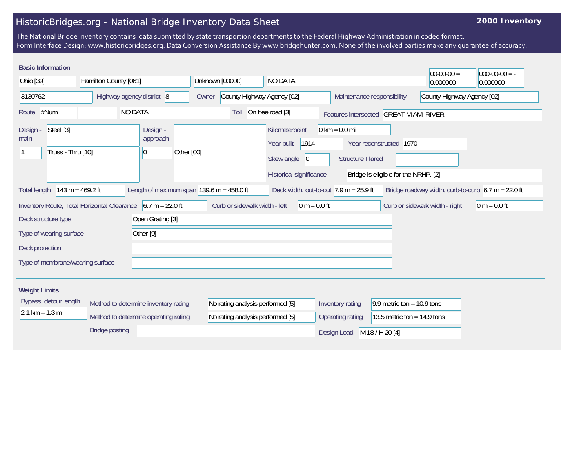## HistoricBridges.org - National Bridge Inventory Data Sheet

## **2000 Inventory**

The National Bridge Inventory contains data submitted by state transportion departments to the Federal Highway Administration in coded format. Form Interface Design: www.historicbridges.org. Data Conversion Assistance By www.bridgehunter.com. None of the involved parties make any guarantee of accuracy.

| <b>Basic Information</b>                                                                                                                                                                                       |  |                                                                                                                                                                                                                       |                                                          |                                                            |                               |                 | $ 00-00-00 $ | $ 000-00-00 $ = - |
|----------------------------------------------------------------------------------------------------------------------------------------------------------------------------------------------------------------|--|-----------------------------------------------------------------------------------------------------------------------------------------------------------------------------------------------------------------------|----------------------------------------------------------|------------------------------------------------------------|-------------------------------|-----------------|--------------|-------------------|
| Ohio [39]<br>Hamilton County [061]                                                                                                                                                                             |  | Unknown [00000]                                                                                                                                                                                                       | NO DATA                                                  |                                                            | 0.000000                      | 0.000000        |              |                   |
| Highway agency district 8<br>3130762                                                                                                                                                                           |  | Owner                                                                                                                                                                                                                 | County Highway Agency [02]<br>Maintenance responsibility |                                                            | County Highway Agency [02]    |                 |              |                   |
| NO DATA<br>#Num!<br>Route                                                                                                                                                                                      |  |                                                                                                                                                                                                                       | Toll                                                     | On free road [3]<br>Features intersected GREAT MIAMI RIVER |                               |                 |              |                   |
| Steel [3]<br>Design -<br>Design -<br>approach<br>main<br>Truss - Thru [10]<br>Other [00]<br> 0                                                                                                                 |  | $0 \text{ km} = 0.0 \text{ mi}$<br>Kilometerpoint<br>1914<br>Year reconstructed 1970<br>Year built<br>Skew angle<br> 0 <br><b>Structure Flared</b><br>Historical significance<br>Bridge is eligible for the NRHP. [2] |                                                          |                                                            |                               |                 |              |                   |
| 143 m = $469.2$ ft<br>Length of maximum span $ 139.6 \text{ m} = 458.0 \text{ ft} $<br>Deck width, out-to-out $7.9$ m = 25.9 ft<br>Bridge roadway width, curb-to-curb $6.7 m = 22.0 ft$<br><b>Total length</b> |  |                                                                                                                                                                                                                       |                                                          |                                                            |                               |                 |              |                   |
| Inventory Route, Total Horizontal Clearance $\vert$ 6.7 m = 22.0 ft<br>Curb or sidewalk width - left<br>$0 m = 0.0 ft$<br>Curb or sidewalk width - right<br>$ 0 m = 0.0 ft$                                    |  |                                                                                                                                                                                                                       |                                                          |                                                            |                               |                 |              |                   |
| Open Grating [3]<br>Deck structure type                                                                                                                                                                        |  |                                                                                                                                                                                                                       |                                                          |                                                            |                               |                 |              |                   |
| Other <sup>[9]</sup><br>Type of wearing surface                                                                                                                                                                |  |                                                                                                                                                                                                                       |                                                          |                                                            |                               |                 |              |                   |
| Deck protection                                                                                                                                                                                                |  |                                                                                                                                                                                                                       |                                                          |                                                            |                               |                 |              |                   |
| Type of membrane/wearing surface                                                                                                                                                                               |  |                                                                                                                                                                                                                       |                                                          |                                                            |                               |                 |              |                   |
| <b>Weight Limits</b>                                                                                                                                                                                           |  |                                                                                                                                                                                                                       |                                                          |                                                            |                               |                 |              |                   |
| Bypass, detour length<br>Method to determine inventory rating                                                                                                                                                  |  | No rating analysis performed [5]                                                                                                                                                                                      |                                                          | Inventory rating                                           | 9.9 metric ton = $10.9$ tons  |                 |              |                   |
| $2.1 \text{ km} = 1.3 \text{ mi}$<br>Method to determine operating rating                                                                                                                                      |  | No rating analysis performed [5]                                                                                                                                                                                      |                                                          | Operating rating                                           | 13.5 metric ton = $14.9$ tons |                 |              |                   |
| <b>Bridge posting</b>                                                                                                                                                                                          |  |                                                                                                                                                                                                                       |                                                          |                                                            | Design Load                   | M 18 / H 20 [4] |              |                   |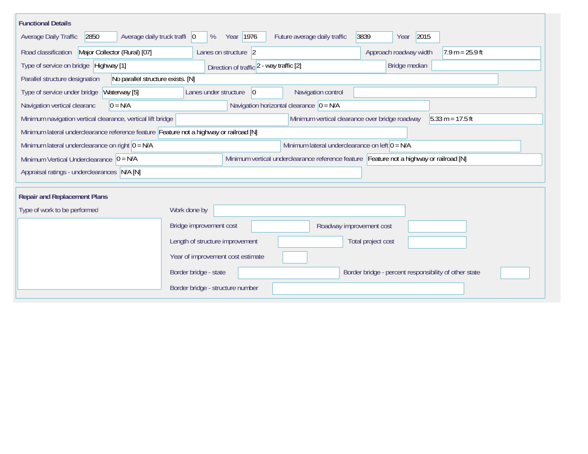| <b>Functional Details</b>                                                                                                               |                                                                                         |                                                                      |  |  |  |  |  |  |  |
|-----------------------------------------------------------------------------------------------------------------------------------------|-----------------------------------------------------------------------------------------|----------------------------------------------------------------------|--|--|--|--|--|--|--|
| Year 1976<br>2015<br>2850<br>Average daily truck traffi 0<br>Future average daily traffic<br>3839<br>Average Daily Traffic<br>%<br>Year |                                                                                         |                                                                      |  |  |  |  |  |  |  |
| Road classification<br>Major Collector (Rural) [07]                                                                                     | Lanes on structure 2                                                                    | Approach roadway width<br>$17.9 m = 25.9 ft$                         |  |  |  |  |  |  |  |
| Type of service on bridge Highway [1]                                                                                                   | Direction of traffic 2 - way traffic [2]                                                | Bridge median                                                        |  |  |  |  |  |  |  |
| No parallel structure exists. [N]<br>Parallel structure designation                                                                     |                                                                                         |                                                                      |  |  |  |  |  |  |  |
| Type of service under bridge<br>Waterway [5]                                                                                            | Navigation control<br>Lanes under structure<br>$ 0\rangle$                              |                                                                      |  |  |  |  |  |  |  |
| Navigation horizontal clearance $ 0 = N/A$<br>Navigation vertical clearanc<br>$0 = N/A$                                                 |                                                                                         |                                                                      |  |  |  |  |  |  |  |
| Minimum navigation vertical clearance, vertical lift bridge                                                                             |                                                                                         | Minimum vertical clearance over bridge roadway<br>$5.33 m = 17.5 ft$ |  |  |  |  |  |  |  |
| Minimum lateral underclearance reference feature Feature not a highway or railroad [N]                                                  |                                                                                         |                                                                      |  |  |  |  |  |  |  |
| Minimum lateral underclearance on right $0 = N/A$                                                                                       | Minimum lateral underclearance on left $0 = N/A$                                        |                                                                      |  |  |  |  |  |  |  |
| Minimum Vertical Underclearance $ 0 = N/A$                                                                                              | Minimum vertical underclearance reference feature Feature not a highway or railroad [N] |                                                                      |  |  |  |  |  |  |  |
| Appraisal ratings - underclearances N/A [N]                                                                                             |                                                                                         |                                                                      |  |  |  |  |  |  |  |
|                                                                                                                                         |                                                                                         |                                                                      |  |  |  |  |  |  |  |
| <b>Repair and Replacement Plans</b>                                                                                                     |                                                                                         |                                                                      |  |  |  |  |  |  |  |
| Type of work to be performed                                                                                                            | Work done by                                                                            |                                                                      |  |  |  |  |  |  |  |
|                                                                                                                                         | Bridge improvement cost                                                                 | Roadway improvement cost                                             |  |  |  |  |  |  |  |
|                                                                                                                                         | Length of structure improvement                                                         | Total project cost                                                   |  |  |  |  |  |  |  |
|                                                                                                                                         | Year of improvement cost estimate                                                       |                                                                      |  |  |  |  |  |  |  |
|                                                                                                                                         | Border bridge - state                                                                   | Border bridge - percent responsibility of other state                |  |  |  |  |  |  |  |
|                                                                                                                                         | Border bridge - structure number                                                        |                                                                      |  |  |  |  |  |  |  |